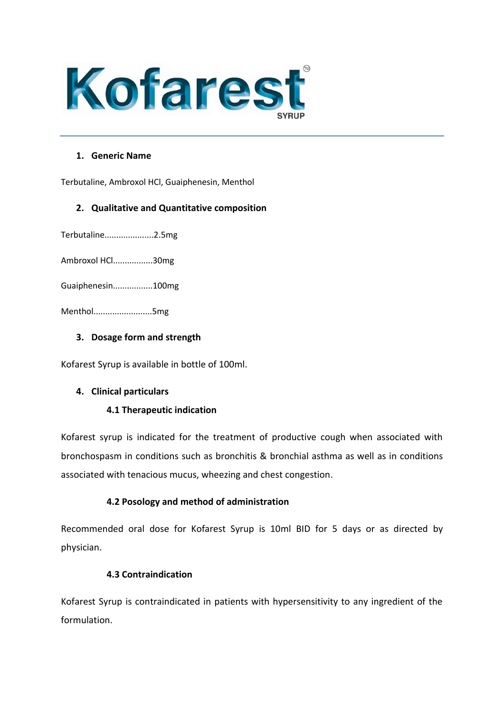

# **1. Generic Name**

Terbutaline, Ambroxol HCl, Guaiphenesin, Menthol

# **2. Qualitative and Quantitative composition**

Terbutaline.....................2.5mg

Ambroxol HCl.................30mg

Guaiphenesin.................100mg

Menthol.........................5mg

# **3. Dosage form and strength**

Kofarest Syrup is available in bottle of 100ml.

# **4. Clinical particulars**

# **4.1 Therapeutic indication**

Kofarest syrup is indicated for the treatment of productive cough when associated with bronchospasm in conditions such as bronchitis & bronchial asthma as well as in conditions associated with tenacious mucus, wheezing and chest congestion.

# **4.2 Posology and method of administration**

Recommended oral dose for Kofarest Syrup is 10ml BID for 5 days or as directed by physician.

# **4.3 Contraindication**

Kofarest Syrup is contraindicated in patients with hypersensitivity to any ingredient of the formulation.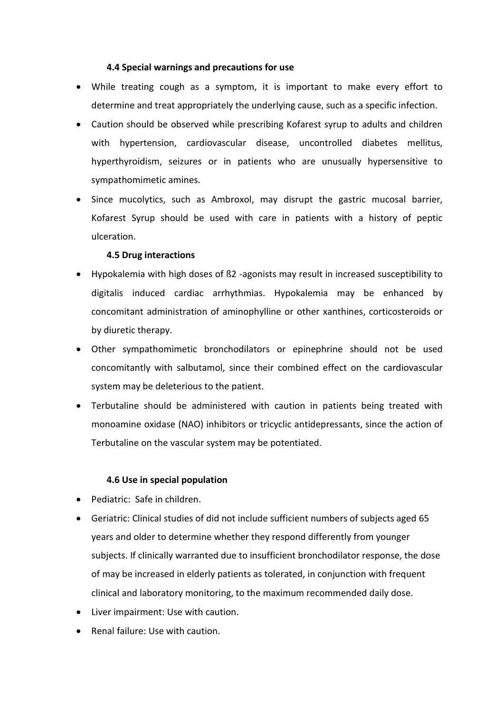# **4.4 Special warnings and precautions for use**

- While treating cough as a symptom, it is important to make every effort to determine and treat appropriately the underlying cause, such as a specific infection.
- Caution should be observed while prescribing Kofarest syrup to adults and children with hypertension, cardiovascular disease, uncontrolled diabetes mellitus, hyperthyroidism, seizures or in patients who are unusually hypersensitive to sympathomimetic amines.
- Since mucolytics, such as Ambroxol, may disrupt the gastric mucosal barrier, Kofarest Syrup should be used with care in patients with a history of peptic ulceration.

# **4.5 Drug interactions**

- Hypokalemia with high doses of ß2 -agonists may result in increased susceptibility to digitalis induced cardiac arrhythmias. Hypokalemia may be enhanced by concomitant administration of aminophylline or other xanthines, corticosteroids or by diuretic therapy.
- Other sympathomimetic bronchodilators or epinephrine should not be used concomitantly with salbutamol, since their combined effect on the cardiovascular system may be deleterious to the patient.
- Terbutaline should be administered with caution in patients being treated with monoamine oxidase (NAO) inhibitors or tricyclic antidepressants, since the action of Terbutaline on the vascular system may be potentiated.

# **4.6 Use in special population**

- Pediatric: Safe in children.
- Geriatric: Clinical studies of did not include sufficient numbers of subjects aged 65 years and older to determine whether they respond differently from younger subjects. If clinically warranted due to insufficient bronchodilator response, the dose of may be increased in elderly patients as tolerated, in conjunction with frequent clinical and laboratory monitoring, to the maximum recommended daily dose.
- Liver impairment: Use with caution.
- Renal failure: Use with caution.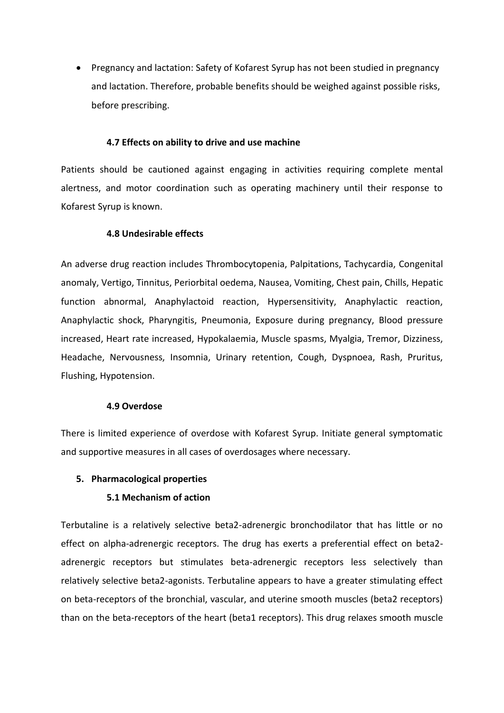• Pregnancy and lactation: Safety of Kofarest Syrup has not been studied in pregnancy and lactation. Therefore, probable benefits should be weighed against possible risks, before prescribing.

### **4.7 Effects on ability to drive and use machine**

Patients should be cautioned against engaging in activities requiring complete mental alertness, and motor coordination such as operating machinery until their response to Kofarest Syrup is known.

### **4.8 Undesirable effects**

An adverse drug reaction includes Thrombocytopenia, Palpitations, Tachycardia, Congenital anomaly, Vertigo, Tinnitus, Periorbital oedema, Nausea, Vomiting, Chest pain, Chills, Hepatic function abnormal, Anaphylactoid reaction, Hypersensitivity, Anaphylactic reaction, Anaphylactic shock, Pharyngitis, Pneumonia, Exposure during pregnancy, Blood pressure increased, Heart rate increased, Hypokalaemia, Muscle spasms, Myalgia, Tremor, Dizziness, Headache, Nervousness, Insomnia, Urinary retention, Cough, Dyspnoea, Rash, Pruritus, Flushing, Hypotension.

#### **4.9 Overdose**

There is limited experience of overdose with Kofarest Syrup. Initiate general symptomatic and supportive measures in all cases of overdosages where necessary.

### **5. Pharmacological properties**

### **5.1 Mechanism of action**

Terbutaline is a relatively selective beta2-adrenergic bronchodilator that has little or no effect on alpha-adrenergic receptors. The drug has exerts a preferential effect on beta2 adrenergic receptors but stimulates beta-adrenergic receptors less selectively than relatively selective beta2-agonists. Terbutaline appears to have a greater stimulating effect on beta-receptors of the bronchial, vascular, and uterine smooth muscles (beta2 receptors) than on the beta-receptors of the heart (beta1 receptors). This drug relaxes smooth muscle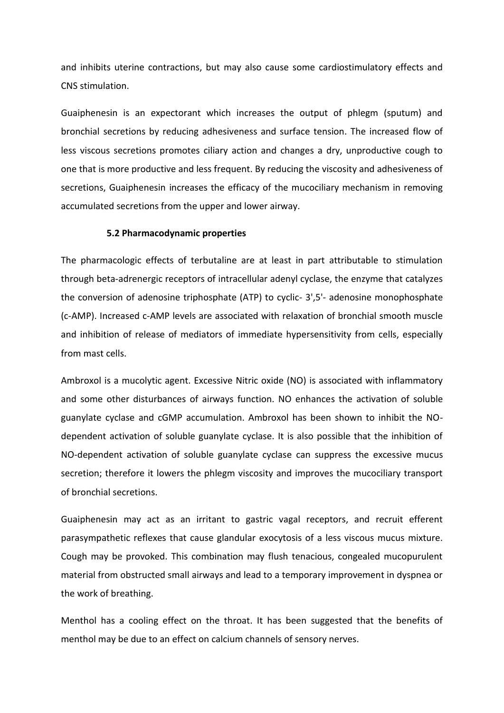and inhibits uterine contractions, but may also cause some cardiostimulatory effects and CNS stimulation.

Guaiphenesin is an expectorant which increases the output of phlegm (sputum) and bronchial secretions by reducing adhesiveness and surface tension. The increased flow of less viscous secretions promotes ciliary action and changes a dry, unproductive cough to one that is more productive and less frequent. By reducing the viscosity and adhesiveness of secretions, Guaiphenesin increases the efficacy of the mucociliary mechanism in removing accumulated secretions from the upper and lower airway.

#### **5.2 Pharmacodynamic properties**

The pharmacologic effects of terbutaline are at least in part attributable to stimulation through beta-adrenergic receptors of intracellular adenyl cyclase, the enzyme that catalyzes the conversion of adenosine triphosphate (ATP) to cyclic- 3',5'- adenosine monophosphate (c-AMP). Increased c-AMP levels are associated with relaxation of bronchial smooth muscle and inhibition of release of mediators of immediate hypersensitivity from cells, especially from mast cells.

Ambroxol is a mucolytic agent. Excessive Nitric oxide (NO) is associated with inflammatory and some other disturbances of airways function. NO enhances the activation of soluble guanylate cyclase and cGMP accumulation. Ambroxol has been shown to inhibit the NOdependent activation of soluble guanylate cyclase. It is also possible that the inhibition of NO-dependent activation of soluble guanylate cyclase can suppress the excessive mucus secretion; therefore it lowers the phlegm viscosity and improves the mucociliary transport of bronchial secretions.

Guaiphenesin may act as an irritant to gastric vagal receptors, and recruit efferent parasympathetic reflexes that cause glandular exocytosis of a less viscous mucus mixture. Cough may be provoked. This combination may flush tenacious, congealed mucopurulent material from obstructed small airways and lead to a temporary improvement in dyspnea or the work of breathing.

Menthol has a cooling effect on the throat. It has been suggested that the benefits of menthol may be due to an effect on calcium channels of sensory nerves.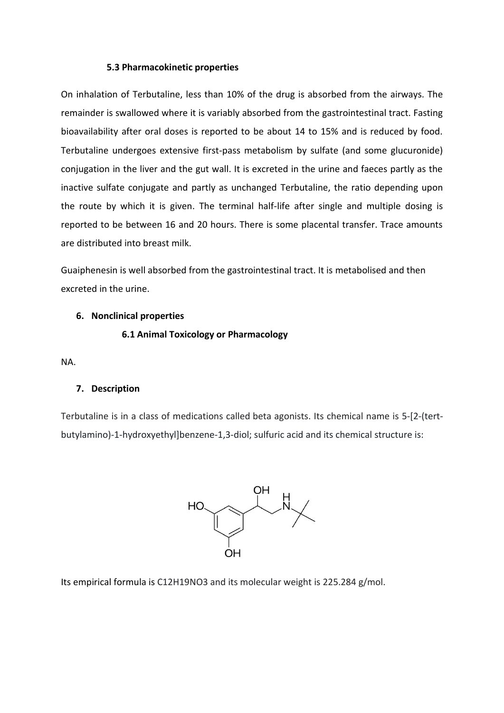# **5.3 Pharmacokinetic properties**

On inhalation of Terbutaline, less than 10% of the drug is absorbed from the airways. The remainder is swallowed where it is variably absorbed from the gastrointestinal tract. Fasting bioavailability after oral doses is reported to be about 14 to 15% and is reduced by food. Terbutaline undergoes extensive first-pass metabolism by sulfate (and some glucuronide) conjugation in the liver and the gut wall. It is excreted in the urine and faeces partly as the inactive sulfate conjugate and partly as unchanged Terbutaline, the ratio depending upon the route by which it is given. The terminal half-life after single and multiple dosing is reported to be between 16 and 20 hours. There is some placental transfer. Trace amounts are distributed into breast milk.

Guaiphenesin is well absorbed from the gastrointestinal tract. It is metabolised and then excreted in the urine.

# **6. Nonclinical properties**

# **6.1 Animal Toxicology or Pharmacology**

NA.

# **7. Description**

Terbutaline is in a class of medications called beta agonists. Its chemical name is 5-[2-(tertbutylamino)-1-hydroxyethyl]benzene-1,3-diol; sulfuric acid and its chemical structure is:



Its empirical formula is C12H19NO3 and its molecular weight is 225.284 g/mol.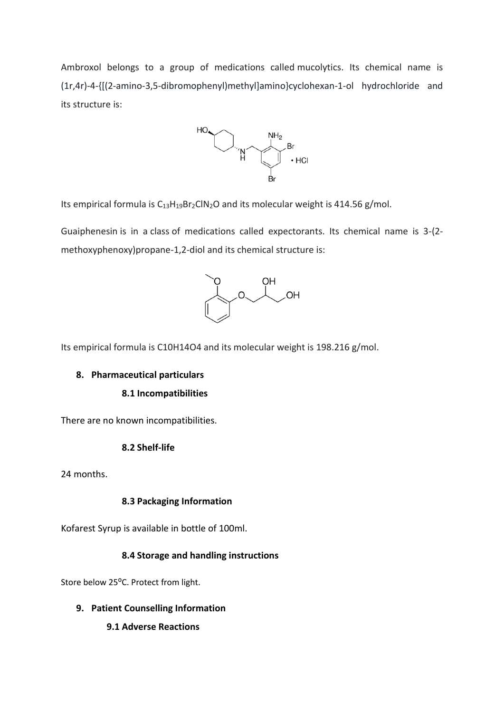Ambroxol belongs to a group of medications called mucolytics. Its chemical name is (1r,4r)-4-{[(2-amino-3,5-dibromophenyl)methyl]amino}cyclohexan-1-ol hydrochloride and its structure is:



Its empirical formula is  $C_{13}H_{19}Br_2CIN_2O$  and its molecular weight is 414.56 g/mol.

Guaiphenesin is in a class of medications called expectorants. Its chemical name is 3-(2 methoxyphenoxy)propane-1,2-diol and its chemical structure is:



Its empirical formula is C10H14O4 and its molecular weight is 198.216 g/mol.

### **8. Pharmaceutical particulars**

### **8.1 Incompatibilities**

There are no known incompatibilities.

#### **8.2 Shelf-life**

24 months.

#### **8.3 Packaging Information**

Kofarest Syrup is available in bottle of 100ml.

### **8.4 Storage and handling instructions**

Store below 25°C. Protect from light.

- **9. Patient Counselling Information**
	- **9.1 Adverse Reactions**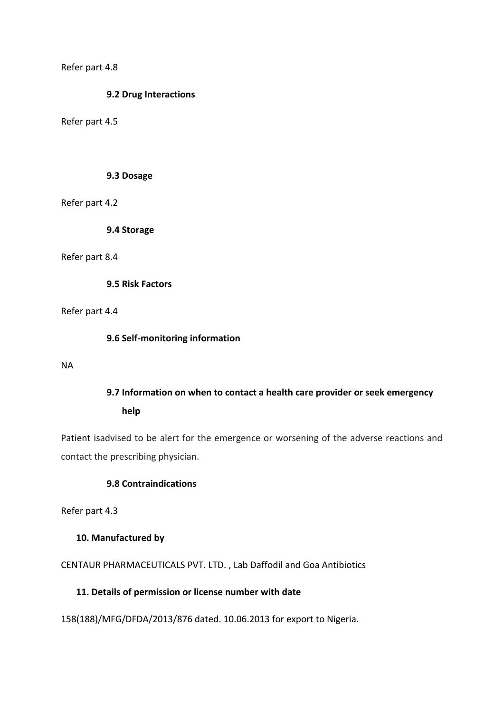Refer part 4.8

### **9.2 Drug Interactions**

Refer part 4.5

### **9.3 Dosage**

Refer part 4.2

**9.4 Storage**

#### Refer part 8.4

**9.5 Risk Factors**

# Refer part 4.4

### **9.6 Self-monitoring information**

NA

# **9.7 Information on when to contact a health care provider or seek emergency help**

Patient isadvised to be alert for the emergence or worsening of the adverse reactions and contact the prescribing physician.

# **9.8 Contraindications**

Refer part 4.3

# **10. Manufactured by**

CENTAUR PHARMACEUTICALS PVT. LTD. , Lab Daffodil and Goa Antibiotics

# **11. Details of permission or license number with date**

158(188)/MFG/DFDA/2013/876 dated. 10.06.2013 for export to Nigeria.